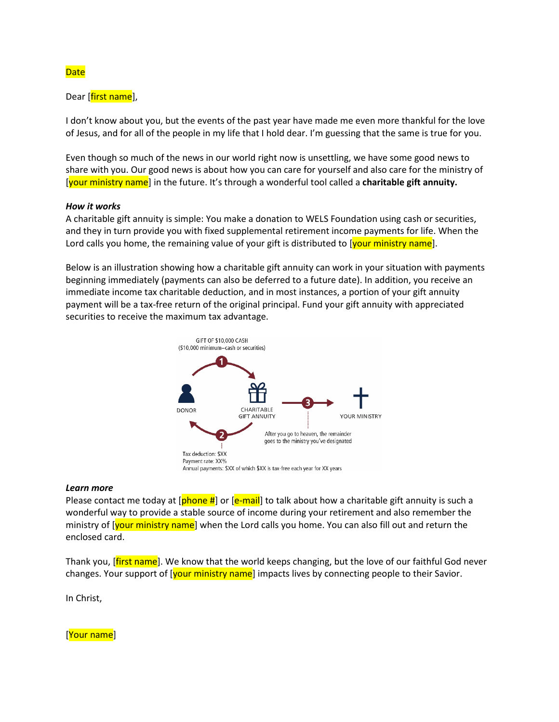## **Date**

### Dear [first name],

I don't know about you, but the events of the past year have made me even more thankful for the love of Jesus, and for all of the people in my life that I hold dear. I'm guessing that the same is true for you.

Even though so much of the news in our world right now is unsettling, we have some good news to share with you. Our good news is about how you can care for yourself and also care for the ministry of [your ministry name] in the future. It's through a wonderful tool called a **charitable gift annuity.**

#### *How it works*

A charitable gift annuity is simple: You make a donation to WELS Foundation using cash or securities, and they in turn provide you with fixed supplemental retirement income payments for life. When the Lord calls you home, the remaining value of your gift is distributed to  $\frac{1}{2}$  wour ministry name.

Below is an illustration showing how a charitable gift annuity can work in your situation with payments beginning immediately (payments can also be deferred to a future date). In addition, you receive an immediate income tax charitable deduction, and in most instances, a portion of your gift annuity payment will be a tax-free return of the original principal. Fund your gift annuity with appreciated securities to receive the maximum tax advantage.



#### *Learn more*

Please contact me today at  $[phone #]$  or  $[e-mail]$  to talk about how a charitable gift annuity is such a wonderful way to provide a stable source of income during your retirement and also remember the ministry of [your ministry name] when the Lord calls you home. You can also fill out and return the enclosed card.

Thank you, [first name]. We know that the world keeps changing, but the love of our faithful God never changes. Your support of [your ministry name] impacts lives by connecting people to their Savior.

In Christ,

[Your name]